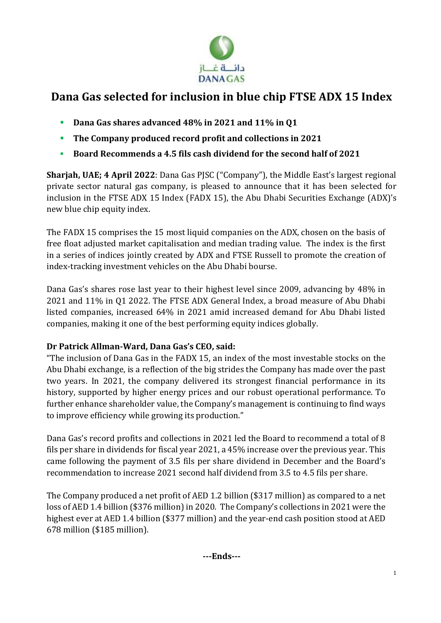

## **Dana Gas selected for inclusion in blue chip FTSE ADX 15 Index**

- **Dana Gas shares advanced 48% in 2021 and 11% in Q1**
- **The Company produced record profit and collections in 2021**
- **Board Recommends a 4.5 fils cash dividend for the second half of 2021**

**Sharjah, UAE; 4 April 2022**: Dana Gas PJSC ("Company"), the Middle East's largest regional private sector natural gas company, is pleased to announce that it has been selected for inclusion in the FTSE ADX 15 Index (FADX 15), the Abu Dhabi Securities Exchange (ADX)'s new blue chip equity index.

The FADX 15 comprises the 15 most liquid companies on the ADX, chosen on the basis of free float adjusted market capitalisation and median trading value. The index is the first in a series of indices jointly created by ADX and FTSE Russell to promote the creation of index-tracking investment vehicles on the Abu Dhabi bourse.

Dana Gas's shares rose last year to their highest level since 2009, advancing by 48% in 2021 and 11% in Q1 2022. The FTSE ADX General Index, a broad measure of Abu Dhabi listed companies, increased 64% in 2021 amid increased demand for Abu Dhabi listed companies, making it one of the best performing equity indices globally.

## **Dr Patrick Allman-Ward, Dana Gas's CEO, said:**

"The inclusion of Dana Gas in the FADX 15, an index of the most investable stocks on the Abu Dhabi exchange, is a reflection of the big strides the Company has made over the past two years. In 2021, the company delivered its strongest financial performance in its history, supported by higher energy prices and our robust operational performance. To further enhance shareholder value, the Company's management is continuing to find ways to improve efficiency while growing its production."

Dana Gas's record profits and collections in 2021 led the Board to recommend a total of 8 fils per share in dividends for fiscal year 2021, a 45% increase over the previous year. This came following the payment of 3.5 fils per share dividend in December and the Board's recommendation to increase 2021 second half dividend from 3.5 to 4.5 fils per share.

The Company produced a net profit of AED 1.2 billion (\$317 million) as compared to a net loss of AED 1.4 billion (\$376 million) in 2020. The Company's collections in 2021 were the highest ever at AED 1.4 billion (\$377 million) and the year-end cash position stood at AED 678 million (\$185 million).